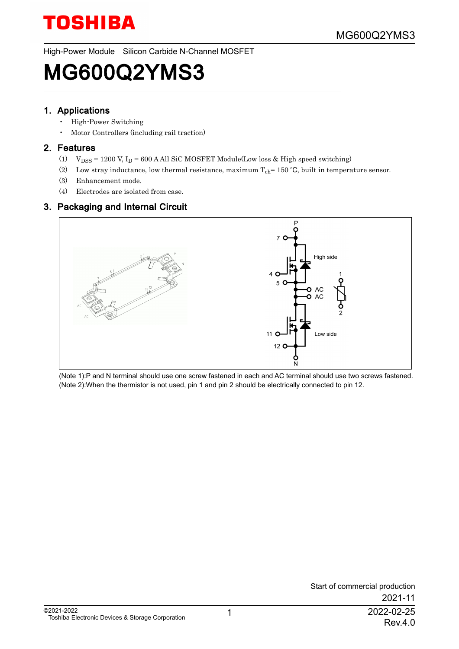High-Power Module Silicon Carbide N-Channel MOSFET

### MG600Q2YMS3

#### 1. Applications

- High-Power Switching
- Motor Controllers (including rail traction)

#### 2. Features

- (1)  $\mathrm{V_{DSS}}$  = 1200 V, I<sub>D</sub> = 600 A All SiC MOSFET Module(Low loss & High speed switching)
- (2) Low stray inductance, low thermal resistance, maximum  $T_{ch}$  = 150 °C, built in temperature sensor.
- (3) Enhancement mode.
- (4) Electrodes are isolated from case.

### 3. Packaging and Internal Circuit



(Note 1):P and N terminal should use one screw fastened in each and AC terminal should use two screws fastened. (Note 2):When the thermistor is not used, pin 1 and pin 2 should be electrically connected to pin 12.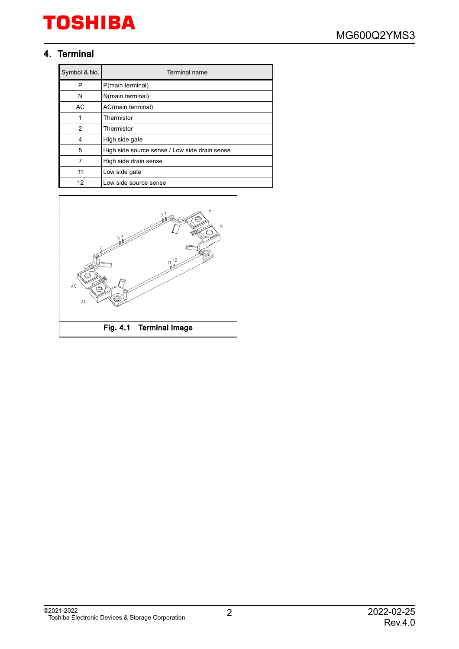### 4. Terminal

| Symbol & No. | Terminal name                                 |
|--------------|-----------------------------------------------|
| P            | P(main terminal)                              |
| N            | N(main terminal)                              |
| AC           | AC(main terminal)                             |
|              | Thermistor                                    |
| 2            | Thermistor                                    |
| 4            | High side gate                                |
| 5            | High side source sense / Low side drain sense |
| 7            | High side drain sense                         |
| 11           | Low side gate                                 |
| 12           | Low side source sense                         |

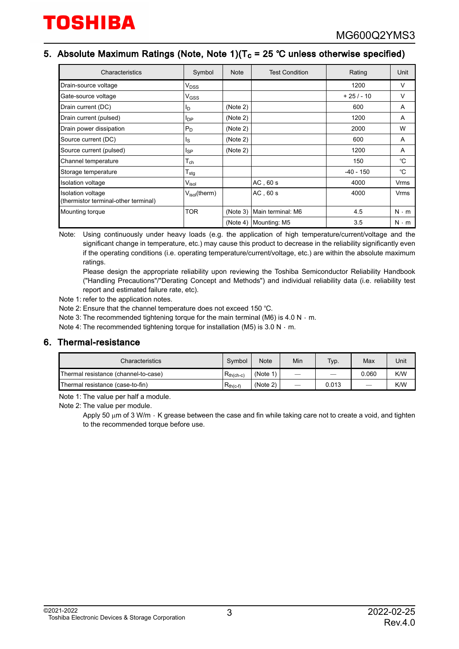### 5. Absolute Maximum Ratings (Note, Note 1)(T $_{\rm c}$  = 25 °C unless otherwise specified)

| Characteristics                                           | Symbol                          | <b>Note</b> | <b>Test Condition</b> | Rating      | Unit        |
|-----------------------------------------------------------|---------------------------------|-------------|-----------------------|-------------|-------------|
| Drain-source voltage                                      | $V_{DSS}$                       |             |                       | 1200        | V           |
| Gate-source voltage                                       | $V$ <sub>GSS</sub>              |             |                       | $+25/ - 10$ | $\vee$      |
| Drain current (DC)                                        | I <sub>D</sub>                  | (Note 2)    |                       | 600         | A           |
| Drain current (pulsed)                                    | <b>I</b> <sub>DP</sub>          | (Note 2)    |                       | 1200        | A           |
| Drain power dissipation                                   | $P_D$                           | (Note 2)    |                       | 2000        | W           |
| Source current (DC)                                       | Ιs                              | (Note 2)    |                       | 600         | A           |
| Source current (pulsed)                                   | <sub>sp</sub>                   | (Note 2)    |                       | 1200        | A           |
| Channel temperature                                       | $\mathsf{T}_\mathsf{ch}$        |             |                       | 150         | °C          |
| Storage temperature                                       | $\mathsf{\Gamma}_{\text{stg}}$  |             |                       | $-40 - 150$ | °C          |
| <b>Isolation voltage</b>                                  | $V_{\sf isol}$                  |             | $AC$ , 60 s           | 4000        | Vrms        |
| Isolation voltage<br>(thermistor terminal-other terminal) | $V_{\text{isol}}(\text{therm})$ |             | AC, 60s               | 4000        | Vrms        |
| Mounting torque                                           | <b>TOR</b>                      | (Note 3)    | Main terminal: M6     | 4.5         | $N \cdot m$ |
|                                                           |                                 | (Note 4)    | Mounting: M5          | 3.5         | $N \cdot m$ |

Note: Using continuously under heavy loads (e.g. the application of high temperature/current/voltage and the significant change in temperature, etc.) may cause this product to decrease in the reliability significantly even if the operating conditions (i.e. operating temperature/current/voltage, etc.) are within the absolute maximum ratings.

Please design the appropriate reliability upon reviewing the Toshiba Semiconductor Reliability Handbook ("Handling Precautions"/"Derating Concept and Methods") and individual reliability data (i.e. reliability test report and estimated failure rate, etc).

Note 1: refer to the application notes.

Note 2: Ensure that the channel temperature does not exceed 150 °C.

Note 3: The recommended tightening torque for the main terminal (M6) is 4.0 N  $\cdot$  m.

Note 4: The recommended tightening torque for installation (M5) is 3.0 N  $\cdot$  m.

#### 6. Thermal-resistance

| Characteristics                                        |  | <b>Note</b> | Min                      | Typ.  | Max   | Unit |
|--------------------------------------------------------|--|-------------|--------------------------|-------|-------|------|
| $R_{th(ch-c)}$<br>Thermal resistance (channel-to-case) |  | (Note 1)    | -                        | -     | 0.060 | K/W  |
| Thermal resistance (case-to-fin)<br>$R_{th(c-f)}$      |  | (Note 2)    | $\overline{\phantom{m}}$ | 0.013 |       | K/W  |

Note 1: The value per half a module.

Note 2: The value per module.

Apply 50  $\mu$ m of 3 W/m  $\cdot$  K grease between the case and fin while taking care not to create a void, and tighten to the recommended torque before use.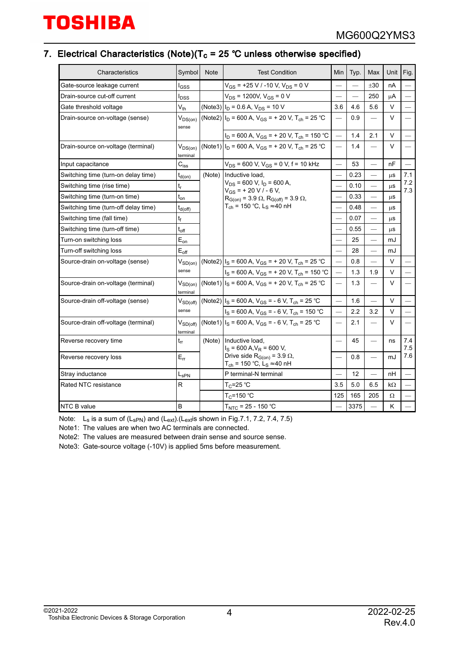### 7. Electrical Characteristics (Note)(T $_{\rm c}$  = 25 °C unless otherwise specified)

| Characteristics                      | Symbol                      | <b>Note</b>                      | <b>Test Condition</b>                                                                                                                         | Min                             | Typ. | Max                            | Unit      | Fig.            |
|--------------------------------------|-----------------------------|----------------------------------|-----------------------------------------------------------------------------------------------------------------------------------------------|---------------------------------|------|--------------------------------|-----------|-----------------|
| Gate-source leakage current          | I <sub>GSS</sub>            |                                  | $V_{GS}$ = +25 V / -10 V, V <sub>DS</sub> = 0 V                                                                                               |                                 |      | ±30                            | nA        |                 |
| Drain-source cut-off current         | <b>I</b> pss                | $V_{DS}$ = 1200V, $V_{GS}$ = 0 V |                                                                                                                                               |                                 |      | 250                            | μA        |                 |
| Gate threshold voltage               | $V_{th}$                    | (Note3)                          | $I_D$ = 0.6 A, $V_{DS}$ = 10 V                                                                                                                | 3.6                             | 4.6  | 5.6                            | V         |                 |
| Drain-source on-voltage (sense)      | $V_{DS(on)}$<br>sense       | (Note2)                          | $I_D$ = 600 A, V <sub>GS</sub> = + 20 V, T <sub>ch</sub> = 25 °C                                                                              |                                 | 0.9  | $\overline{\phantom{0}}$       | V         |                 |
|                                      |                             |                                  | $I_D$ = 600 A, $V_{GS}$ = + 20 V, T <sub>ch</sub> = 150 °C                                                                                    |                                 | 1.4  | 2.1                            | V         | $\qquad \qquad$ |
| Drain-source on-voltage (terminal)   | $V_{DS(on)}$<br>terminal    |                                  | (Note 1) $I_D$ = 600 A, V <sub>GS</sub> = + 20 V, T <sub>ch</sub> = 25 °C                                                                     |                                 | 1.4  |                                | V         |                 |
| Input capacitance                    | $C_{iss}$                   |                                  | $V_{DS}$ = 600 V, $V_{GS}$ = 0 V, f = 10 kHz                                                                                                  |                                 | 53   | $\equiv$                       | nF        |                 |
| Switching time (turn-on delay time)  | $t_{d(on)}$                 |                                  | Inductive load.                                                                                                                               |                                 | 0.23 |                                | μS        | 7.1             |
| Switching time (rise time)           | $\mathfrak{t}_{\mathsf{r}}$ |                                  | $V_{DS}$ = 600 V, $I_D$ = 600 A,<br>$V_{GS}$ = + 20 V / - 6 V,                                                                                | $\overline{\phantom{0}}$        | 0.10 | $\overline{\phantom{0}}$       | $\mu$ S   | 7.2<br>7.3      |
| Switching time (turn-on time)        | $t_{\text{on}}$             |                                  | $R_{G(0n)} = 3.9 \Omega$ , $R_{G(0ff)} = 3.9 \Omega$ ,<br>$T_{ch}$ = 150 °C, L <sub>S</sub> $\approx$ 40 nH                                   |                                 | 0.33 | $\overline{\phantom{0}}$       | μS        |                 |
| Switching time (turn-off delay time) | $t_{d(off)}$                |                                  |                                                                                                                                               |                                 | 0.48 | $\overline{\phantom{0}}$       | μS        |                 |
| Switching time (fall time)           | t <sub>f</sub>              |                                  |                                                                                                                                               | $\overbrace{\qquad \qquad }^{}$ | 0.07 | $\qquad \qquad -$              | $\mu$ S   |                 |
| Switching time (turn-off time)       | $t_{off}$                   |                                  |                                                                                                                                               |                                 | 0.55 | $\overline{\phantom{0}}$       | μS        |                 |
| $E_{on}$<br>Turn-on switching loss   |                             |                                  |                                                                                                                                               |                                 | 25   | $\overline{\phantom{0}}$       | mJ        |                 |
| Turn-off switching loss              | $E_{\text{off}}$            |                                  |                                                                                                                                               | $\overline{\phantom{0}}$        | 28   | $\qquad \qquad \longleftarrow$ | mJ        |                 |
| Source-drain on-voltage (sense)      | $V_{SD(on)}$                |                                  | (Note2) $I_S$ = 600 A, V <sub>GS</sub> = + 20 V, T <sub>ch</sub> = 25 °C                                                                      |                                 | 0.8  | $\equiv$                       | V         |                 |
|                                      | sense                       |                                  | $I_S$ = 600 A, $V_{GS}$ = + 20 V, T <sub>ch</sub> = 150 °C                                                                                    |                                 | 1.3  | 1.9                            | V         |                 |
| Source-drain on-voltage (terminal)   | $V_{SD(on)}$<br>terminal    |                                  | (Note 1) $I_S$ = 600 A, V <sub>GS</sub> = + 20 V, T <sub>ch</sub> = 25 °C                                                                     |                                 | 1.3  | $\overline{\phantom{0}}$       | V         |                 |
| Source-drain off-voltage (sense)     | $V_{SD(off)}$               |                                  | (Note2) $I_S$ = 600 A, V <sub>GS</sub> = - 6 V, T <sub>ch</sub> = 25 °C                                                                       | $\overbrace{\phantom{12333}}$   | 1.6  |                                | V         |                 |
|                                      | sense                       |                                  | $I_S$ = 600 A, $V_{GS}$ = - 6 V, T <sub>ch</sub> = 150 °C                                                                                     | $\overline{\phantom{0}}$        | 2.2  | 3.2                            | V         | $\qquad \qquad$ |
| Source-drain off-voltage (terminal)  | $V_{SD(off)}$<br>terminal   |                                  | (Note 1) $I_S$ = 600 A, V <sub>GS</sub> = - 6 V, T <sub>ch</sub> = 25 °C                                                                      |                                 | 2.1  |                                | V         |                 |
| Reverse recovery time                | $t_{rr}$                    | (Note)                           | Inductive load,<br>$I_S$ = 600 A, $V_R$ = 600 V,<br>Drive side $R_{G(on)} = 3.9 \Omega$ ,<br>T <sub>ch</sub> = 150 °C, L <sub>S</sub> ≈ 40 nH |                                 | 45   | $\qquad \qquad$                | ns        | 7.4<br>7.5      |
| Reverse recovery loss                | $E_{rr}$                    |                                  |                                                                                                                                               |                                 | 0.8  | $\qquad \qquad \longleftarrow$ | mJ        | 7.6             |
| Stray inductance                     | $L_{\rm SPN}$               |                                  | P terminal-N terminal                                                                                                                         |                                 | 12   | $\overline{\phantom{0}}$       | nH        |                 |
| Rated NTC resistance                 | R                           |                                  | $T_C = 25 °C$                                                                                                                                 | 3.5                             | 5.0  | 6.5                            | $k\Omega$ |                 |
|                                      |                             |                                  | $T_C = 150 °C$                                                                                                                                | 125                             | 165  | 205                            | Ω         |                 |
| B<br><b>NTC B value</b>              |                             |                                  | $T_{NTC}$ = 25 - 150 °C                                                                                                                       |                                 | 3375 |                                | K         |                 |

Note: L<sub>s</sub> is a sum of (L<sub>sPN</sub>) and (L<sub>ext</sub>).(L<sub>ext</sub>is shown in Fig.7.1, 7.2, 7.4, 7.5)

Note1: The values are when two AC terminals are connected.

Note2: The values are measured between drain sense and source sense.

Note3: Gate-source voltage (-10V) is applied 5ms before measurement.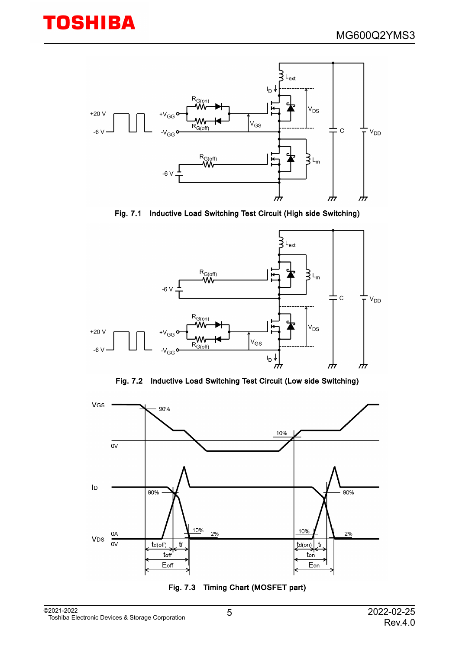



Fig. 7.1 Inductive Load Switching Test Circuit (High side Switching)



Fig. 7.2 Inductive Load Switching Test Circuit (Low side Switching)



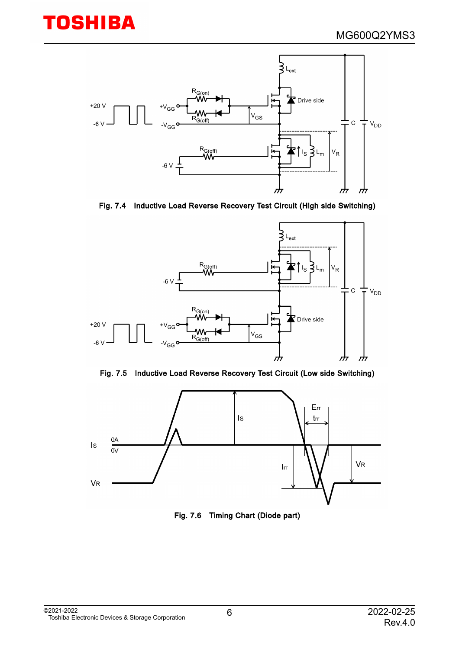

Fig. 7.4 Inductive Load Reverse Recovery Test Circuit (High side Switching)







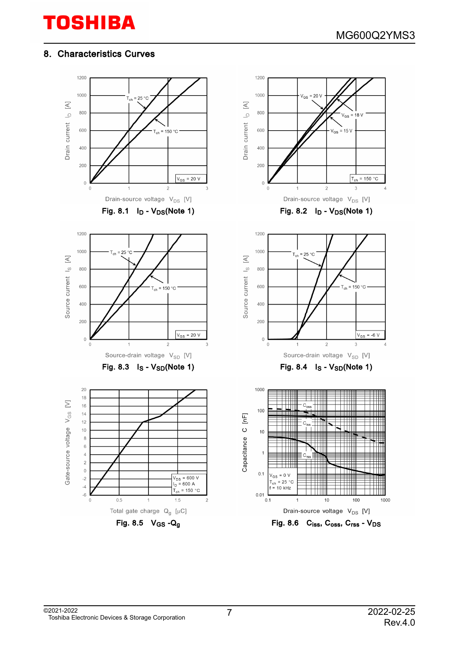### 8. Characteristics Curves

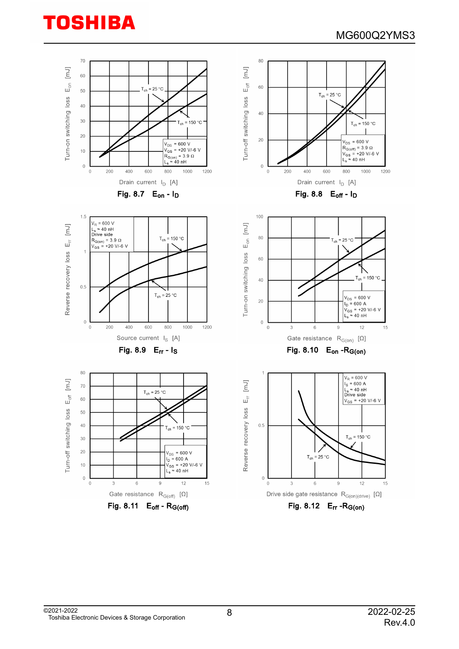

©2021-2022 Toshiba Electronic Devices & Storage Corporation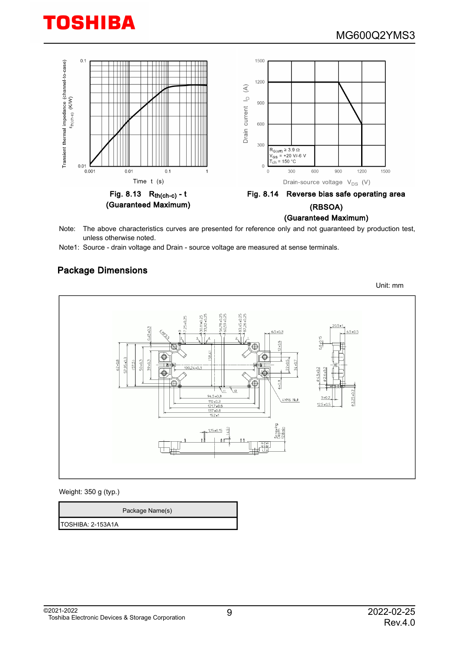

Note: The above characteristics curves are presented for reference only and not guaranteed by production test, unless otherwise noted.

Note1: Source - drain voltage and Drain - source voltage are measured at sense terminals.

#### Package Dimensions

Unit: mm  $6.5 + 0.3$  $6.5 \pm 0.5$ € Ċ 57.95±0.3  $-0.05$  $52 * 0.8$  $57.5$ 59+0.3 ⋔  $\sqrt{12}$  $2.25 + 0.2$  $94.5 \pm 0.3$  $3+0$ 4XM6 Nut  $12.5 - 0$  $\frac{121.740}{137 + 0.8}$  $152 +$  $1.15 * 0.15$  $\widehat{5}$ perewire <u>918</u>

Weight: 350 g (typ.)

|                   | Package Name(s) |
|-------------------|-----------------|
| TOSHIBA: 2-153A1A |                 |

©2021-2022 Toshiba Electronic Devices & Storage Corporation